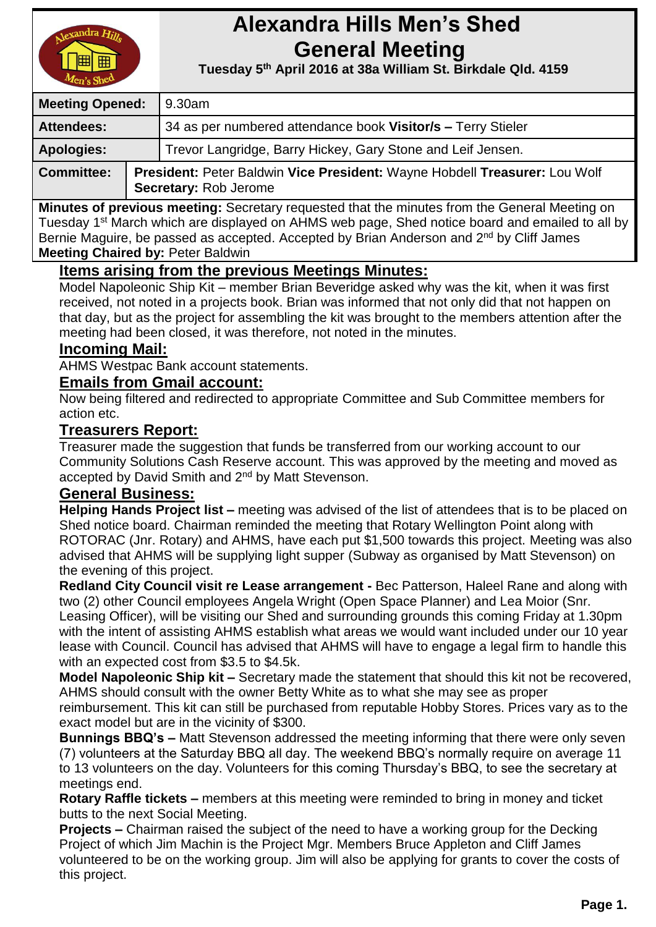

# **Alexandra Hills Men's Shed General Meeting**

 **Tuesday 5 th April 2016 at 38a William St. Birkdale Qld. 4159** 

| <b>Meeting Opened:</b> |  | 9.30am                                                                                              |  |
|------------------------|--|-----------------------------------------------------------------------------------------------------|--|
| Attendees:             |  | 34 as per numbered attendance book Visitor/s - Terry Stieler                                        |  |
| <b>Apologies:</b>      |  | Trevor Langridge, Barry Hickey, Gary Stone and Leif Jensen.                                         |  |
| <b>Committee:</b>      |  | President: Peter Baldwin Vice President: Wayne Hobdell Treasurer: Lou Wolf<br>Secretary: Rob Jerome |  |

**Minutes of previous meeting:** Secretary requested that the minutes from the General Meeting on Tuesday 1<sup>st</sup> March which are displayed on AHMS web page, Shed notice board and emailed to all by Bernie Maguire, be passed as accepted. Accepted by Brian Anderson and 2<sup>nd</sup> by Cliff James **Meeting Chaired by:** Peter Baldwin

# **Items arising from the previous Meetings Minutes:**

Model Napoleonic Ship Kit – member Brian Beveridge asked why was the kit, when it was first received, not noted in a projects book. Brian was informed that not only did that not happen on that day, but as the project for assembling the kit was brought to the members attention after the meeting had been closed, it was therefore, not noted in the minutes.

# **Incoming Mail:**

AHMS Westpac Bank account statements.

# **Emails from Gmail account:**

Now being filtered and redirected to appropriate Committee and Sub Committee members for action etc.

# **Treasurers Report:**

Treasurer made the suggestion that funds be transferred from our working account to our Community Solutions Cash Reserve account. This was approved by the meeting and moved as accepted by David Smith and 2<sup>nd</sup> by Matt Stevenson.

#### **General Business:**

**Helping Hands Project list –** meeting was advised of the list of attendees that is to be placed on Shed notice board. Chairman reminded the meeting that Rotary Wellington Point along with ROTORAC (Jnr. Rotary) and AHMS, have each put \$1,500 towards this project. Meeting was also advised that AHMS will be supplying light supper (Subway as organised by Matt Stevenson) on the evening of this project.

**Redland City Council visit re Lease arrangement -** Bec Patterson, Haleel Rane and along with two (2) other Council employees Angela Wright (Open Space Planner) and Lea Moior (Snr. Leasing Officer), will be visiting our Shed and surrounding grounds this coming Friday at 1.30pm with the intent of assisting AHMS establish what areas we would want included under our 10 year lease with Council. Council has advised that AHMS will have to engage a legal firm to handle this with an expected cost from \$3.5 to \$4.5k.

**Model Napoleonic Ship kit –** Secretary made the statement that should this kit not be recovered, AHMS should consult with the owner Betty White as to what she may see as proper

reimbursement. This kit can still be purchased from reputable Hobby Stores. Prices vary as to the exact model but are in the vicinity of \$300.

**Bunnings BBQ's –** Matt Stevenson addressed the meeting informing that there were only seven (7) volunteers at the Saturday BBQ all day. The weekend BBQ's normally require on average 11 to 13 volunteers on the day. Volunteers for this coming Thursday's BBQ, to see the secretary at meetings end.

**Rotary Raffle tickets –** members at this meeting were reminded to bring in money and ticket butts to the next Social Meeting.

**Projects –** Chairman raised the subject of the need to have a working group for the Decking Project of which Jim Machin is the Project Mgr. Members Bruce Appleton and Cliff James volunteered to be on the working group. Jim will also be applying for grants to cover the costs of this project.